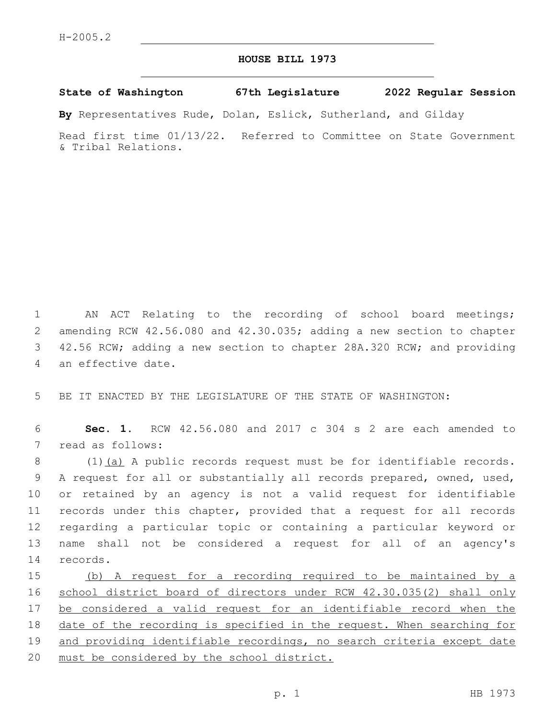## **HOUSE BILL 1973**

## **State of Washington 67th Legislature 2022 Regular Session**

**By** Representatives Rude, Dolan, Eslick, Sutherland, and Gilday

Read first time 01/13/22. Referred to Committee on State Government & Tribal Relations.

 AN ACT Relating to the recording of school board meetings; amending RCW 42.56.080 and 42.30.035; adding a new section to chapter 42.56 RCW; adding a new section to chapter 28A.320 RCW; and providing 4 an effective date.

5 BE IT ENACTED BY THE LEGISLATURE OF THE STATE OF WASHINGTON:

6 **Sec. 1.** RCW 42.56.080 and 2017 c 304 s 2 are each amended to 7 read as follows:

8 (1) (a) A public records request must be for identifiable records. 9 A request for all or substantially all records prepared, owned, used, 10 or retained by an agency is not a valid request for identifiable 11 records under this chapter, provided that a request for all records 12 regarding a particular topic or containing a particular keyword or 13 name shall not be considered a request for all of an agency's 14 records.

15 (b) A request for a recording required to be maintained by a 16 school district board of directors under RCW 42.30.035(2) shall only 17 be considered a valid request for an identifiable record when the 18 date of the recording is specified in the request. When searching for 19 and providing identifiable recordings, no search criteria except date 20 must be considered by the school district.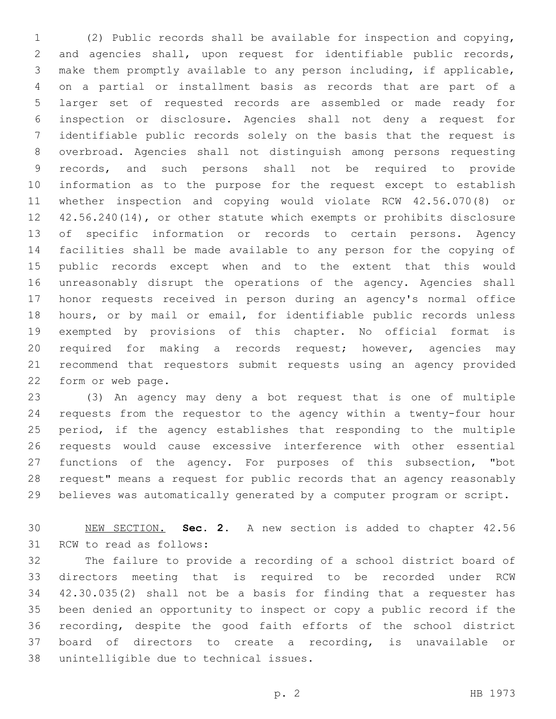(2) Public records shall be available for inspection and copying, and agencies shall, upon request for identifiable public records, make them promptly available to any person including, if applicable, on a partial or installment basis as records that are part of a larger set of requested records are assembled or made ready for inspection or disclosure. Agencies shall not deny a request for identifiable public records solely on the basis that the request is overbroad. Agencies shall not distinguish among persons requesting records, and such persons shall not be required to provide information as to the purpose for the request except to establish whether inspection and copying would violate RCW 42.56.070(8) or 42.56.240(14), or other statute which exempts or prohibits disclosure of specific information or records to certain persons. Agency facilities shall be made available to any person for the copying of public records except when and to the extent that this would unreasonably disrupt the operations of the agency. Agencies shall honor requests received in person during an agency's normal office hours, or by mail or email, for identifiable public records unless exempted by provisions of this chapter. No official format is required for making a records request; however, agencies may recommend that requestors submit requests using an agency provided 22 form or web page.

 (3) An agency may deny a bot request that is one of multiple requests from the requestor to the agency within a twenty-four hour period, if the agency establishes that responding to the multiple requests would cause excessive interference with other essential functions of the agency. For purposes of this subsection, "bot request" means a request for public records that an agency reasonably believes was automatically generated by a computer program or script.

 NEW SECTION. **Sec. 2.** A new section is added to chapter 42.56 31 RCW to read as follows:

 The failure to provide a recording of a school district board of directors meeting that is required to be recorded under RCW 42.30.035(2) shall not be a basis for finding that a requester has been denied an opportunity to inspect or copy a public record if the recording, despite the good faith efforts of the school district board of directors to create a recording, is unavailable or 38 unintelligible due to technical issues.